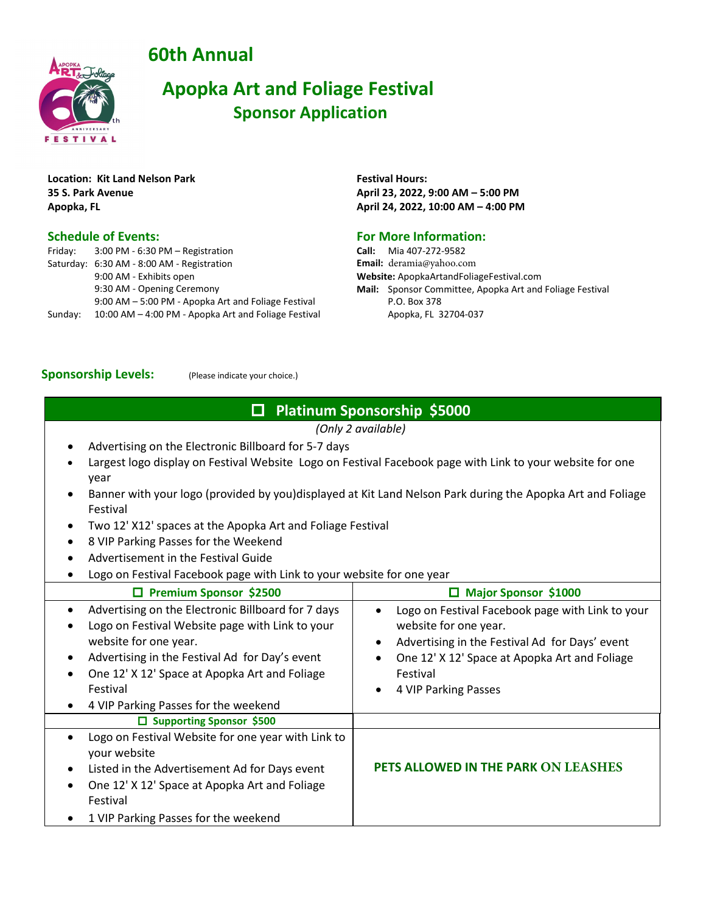**60th Annual**



## **Apopka Art and Foliage Festival Sponsor Application**

**Location: Kit Land Nelson Park 35 S. Park Avenue Apopka, FL**

#### **Schedule of Events:**

| Friday: | 3:00 PM - 6:30 PM - Registration                     |
|---------|------------------------------------------------------|
|         | Saturday: 6:30 AM - 8:00 AM - Registration           |
|         | 9:00 AM - Exhibits open                              |
|         | 9:30 AM - Opening Ceremony                           |
|         | 9:00 AM - 5:00 PM - Apopka Art and Foliage Festival  |
| Sunday: | 10:00 AM - 4:00 PM - Apopka Art and Foliage Festival |

**Festival Hours: April 23, 2022, 9:00 AM – 5:00 PM April 24, 2022, 10:00 AM – 4:00 PM** 

#### **For More Information:**

**Call:** Mia 407-272-9582 **Email:** deramia@yahoo.com **Website:** ApopkaArtandFoliageFestival.com **Mail:** Sponsor Committee, Apopka Art and Foliage Festival P.O. Box 378 Apopka, FL 32704-037

#### **Sponsorship Levels:** (Please indicate your choice.)

### **Platinum Sponsorship \$5000**

*(Only 2 available)*

- Advertising on the Electronic Billboard for 5-7 days
- Largest logo display on Festival Website Logo on Festival Facebook page with Link to your website for one year
- Banner with your logo (provided by you)displayed at Kit Land Nelson Park during the Apopka Art and Foliage Festival
- Two 12' X12' spaces at the Apopka Art and Foliage Festival
- 8 VIP Parking Passes for the Weekend
- Advertisement in the Festival Guide
- Logo on Festival Facebook page with Link to your website for one year

| Logo on Festival Facebook page with Link to your<br>website for one year.<br>Advertising in the Festival Ad for Days' event<br>One 12' X 12' Space at Apopka Art and Foliage<br>Festival<br>4 VIP Parking Passes |
|------------------------------------------------------------------------------------------------------------------------------------------------------------------------------------------------------------------|
|                                                                                                                                                                                                                  |
| PETS ALLOWED IN THE PARK ON LEASHES                                                                                                                                                                              |
|                                                                                                                                                                                                                  |